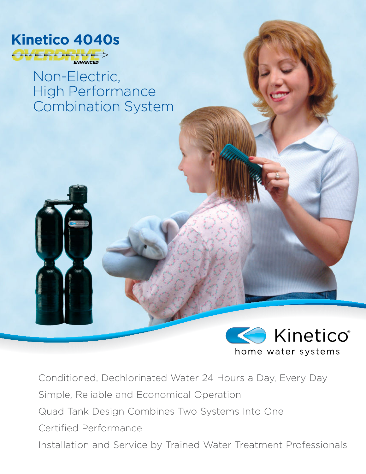

Non-Electric, High Performance Combination System



Conditioned, Dechlorinated Water 24 Hours a Day, Every Day Simple, Reliable and Economical Operation Quad Tank Design Combines Two Systems Into One Certified Performance Installation and Service by Trained Water Treatment Professionals